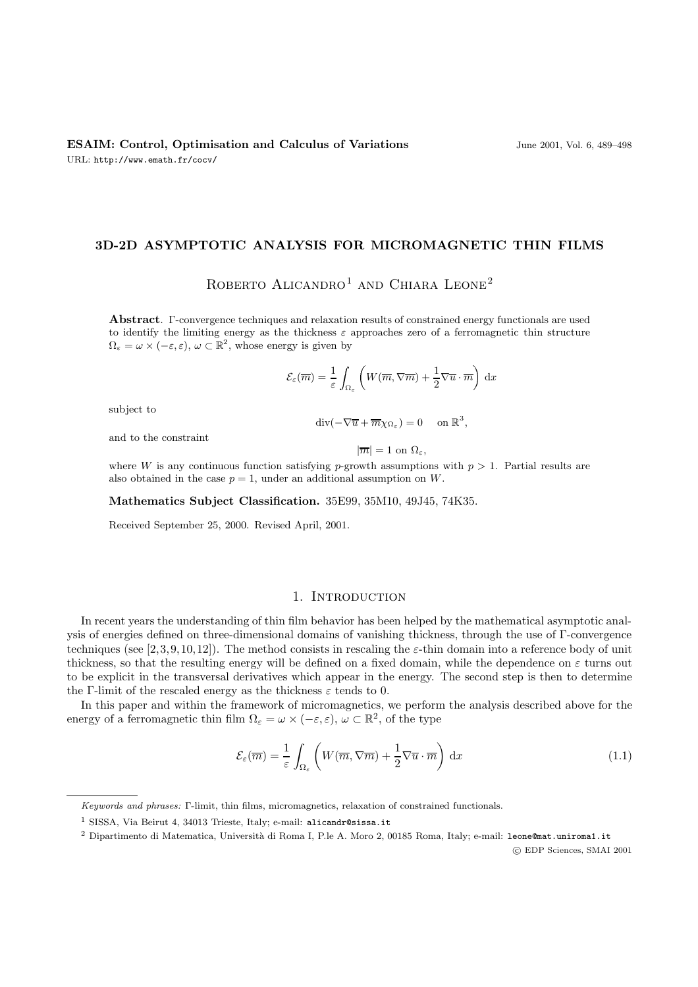### **3D-2D ASYMPTOTIC ANALYSIS FOR MICROMAGNETIC THIN FILMS**

ROBERTO  $ALICANDRO<sup>1</sup>$  AND CHIARA LEONE<sup>2</sup>

**Abstract**. Γ-convergence techniques and relaxation results of constrained energy functionals are used to identify the limiting energy as the thickness  $\varepsilon$  approaches zero of a ferromagnetic thin structure  $\Omega_{\varepsilon} = \omega \times (-\varepsilon, \varepsilon), \, \omega \subset \mathbb{R}^2$ , whose energy is given by

$$
\mathcal{E}_{\varepsilon}(\overline{m}) = \frac{1}{\varepsilon} \int_{\Omega_{\varepsilon}} \left( W(\overline{m}, \nabla \overline{m}) + \frac{1}{2} \nabla \overline{u} \cdot \overline{m} \right) dx
$$

subject to

 $\operatorname{div}(-\nabla \overline{u} + \overline{m}\chi_{\Omega_{\varepsilon}}) = 0$  on  $\mathbb{R}^3$ ,

and to the constraint

 $|\overline{m}| = 1$  on  $\Omega_{\varepsilon}$ ,

where W is any continuous function satisfying p-growth assumptions with  $p > 1$ . Partial results are also obtained in the case  $p = 1$ , under an additional assumption on W.

**Mathematics Subject Classification.** 35E99, 35M10, 49J45, 74K35.

Received September 25, 2000. Revised April, 2001.

# 1. INTRODUCTION

In recent years the understanding of thin film behavior has been helped by the mathematical asymptotic analysis of energies defined on three-dimensional domains of vanishing thickness, through the use of Γ-convergence techniques (see [2,3,9,10,12]). The method consists in rescaling the  $\varepsilon$ -thin domain into a reference body of unit thickness, so that the resulting energy will be defined on a fixed domain, while the dependence on  $\varepsilon$  turns out to be explicit in the transversal derivatives which appear in the energy. The second step is then to determine the Γ-limit of the rescaled energy as the thickness  $\varepsilon$  tends to 0.

In this paper and within the framework of micromagnetics, we perform the analysis described above for the energy of a ferromagnetic thin film  $\Omega_{\varepsilon} = \omega \times (-\varepsilon, \varepsilon), \omega \subset \mathbb{R}^2$ , of the type

$$
\mathcal{E}_{\varepsilon}(\overline{m}) = \frac{1}{\varepsilon} \int_{\Omega_{\varepsilon}} \left( W(\overline{m}, \nabla \overline{m}) + \frac{1}{2} \nabla \overline{u} \cdot \overline{m} \right) dx \tag{1.1}
$$

c EDP Sciences, SMAI 2001

Keywords and phrases: Γ-limit, thin films, micromagnetics, relaxation of constrained functionals.

<sup>&</sup>lt;sup>1</sup> SISSA, Via Beirut 4, 34013 Trieste, Italy; e-mail: alicandr@sissa.it

<sup>&</sup>lt;sup>2</sup> Dipartimento di Matematica, Università di Roma I, P.le A. Moro 2, 00185 Roma, Italy; e-mail: leone@mat.uniroma1.it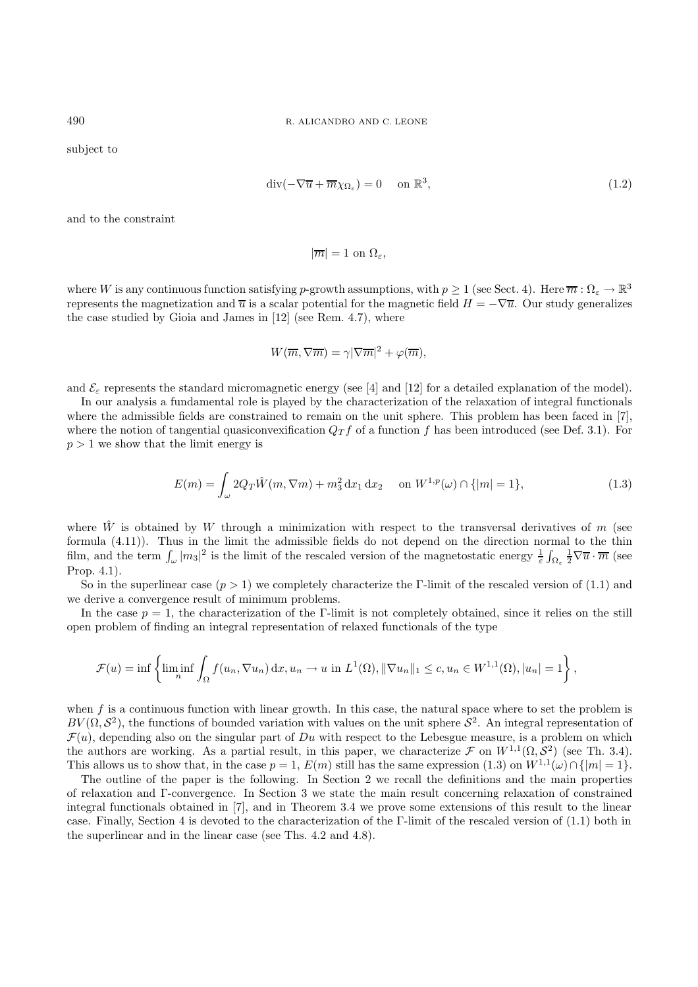subject to

$$
\operatorname{div}(-\nabla \overline{u} + \overline{m}\chi_{\Omega_{\varepsilon}}) = 0 \quad \text{on } \mathbb{R}^3,
$$
\n(1.2)

and to the constraint

 $|\overline{m}| = 1$  on  $\Omega_{\varepsilon}$ ,

where W is any continuous function satisfying p-growth assumptions, with  $p \ge 1$  (see Sect. 4). Here  $\overline{m} : \Omega_{\varepsilon} \to \mathbb{R}^3$ represents the magnetization and  $\overline{u}$  is a scalar potential for the magnetic field  $H = -\nabla \overline{u}$ . Our study generalizes the case studied by Gioia and James in [12] (see Rem. 4.7), where

$$
W(\overline{m}, \nabla \overline{m}) = \gamma |\nabla \overline{m}|^2 + \varphi(\overline{m}),
$$

and  $\mathcal{E}_{\varepsilon}$  represents the standard micromagnetic energy (see [4] and [12] for a detailed explanation of the model).

In our analysis a fundamental role is played by the characterization of the relaxation of integral functionals where the admissible fields are constrained to remain on the unit sphere. This problem has been faced in [7], where the notion of tangential quasiconvexification  $Q_T f$  of a function f has been introduced (see Def. 3.1). For  $p > 1$  we show that the limit energy is

$$
E(m) = \int_{\omega} 2Q_T \hat{W}(m, \nabla m) + m_3^2 dx_1 dx_2 \quad \text{on } W^{1, p}(\omega) \cap \{|m| = 1\},\tag{1.3}
$$

where  $\hat{W}$  is obtained by W through a minimization with respect to the transversal derivatives of m (see formula (4.11)). Thus in the limit the admissible fields do not depend on the direction normal to the thin film, and the term  $\int_{\omega} |m_3|^2$  is the limit of the rescaled version of the magnetostatic energy  $\frac{1}{\varepsilon} \int_{\Omega_{\varepsilon}} \frac{1}{2} \nabla \overline{u} \cdot \overline{m}$  (see Prop. 4.1).

So in the superlinear case  $(p > 1)$  we completely characterize the Γ-limit of the rescaled version of (1.1) and we derive a convergence result of minimum problems.

In the case  $p = 1$ , the characterization of the Γ-limit is not completely obtained, since it relies on the still open problem of finding an integral representation of relaxed functionals of the type

$$
\mathcal{F}(u) = \inf \left\{ \liminf_{n} \int_{\Omega} f(u_n, \nabla u_n) dx, u_n \to u \text{ in } L^1(\Omega), ||\nabla u_n||_1 \le c, u_n \in W^{1,1}(\Omega), |u_n| = 1 \right\},\
$$

when  $f$  is a continuous function with linear growth. In this case, the natural space where to set the problem is  $BV(\Omega, \mathcal{S}^2)$ , the functions of bounded variation with values on the unit sphere  $\mathcal{S}^2$ . An integral representation of  $\mathcal{F}(u)$ , depending also on the singular part of Du with respect to the Lebesgue measure, is a problem on which the authors are working. As a partial result, in this paper, we characterize  $\mathcal F$  on  $W^{1,1}(\Omega,\mathcal S^2)$  (see Th. 3.4). This allows us to show that, in the case  $p = 1$ ,  $E(m)$  still has the same expression (1.3) on  $W^{1,1}(\omega) \cap \{|m| = 1\}$ .

The outline of the paper is the following. In Section 2 we recall the definitions and the main properties of relaxation and Γ-convergence. In Section 3 we state the main result concerning relaxation of constrained integral functionals obtained in [7], and in Theorem 3.4 we prove some extensions of this result to the linear case. Finally, Section 4 is devoted to the characterization of the Γ-limit of the rescaled version of (1.1) both in the superlinear and in the linear case (see Ths. 4.2 and 4.8).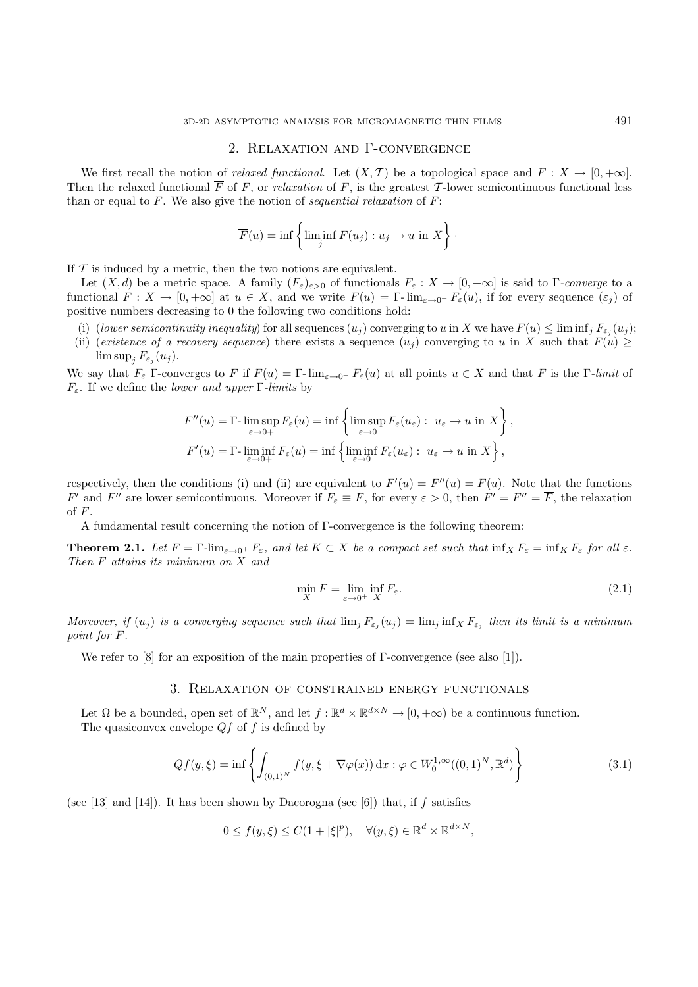### 2. Relaxation and Γ-convergence

We first recall the notion of *relaxed functional*. Let  $(X, \mathcal{T})$  be a topological space and  $F : X \to [0, +\infty]$ . Then the relaxed functional  $\overline{F}$  of F, or relaxation of F, is the greatest T-lower semicontinuous functional less than or equal to  $F$ . We also give the notion of sequential relaxation of  $F$ :

$$
\overline{F}(u) = \inf \left\{ \liminf_{j} F(u_j) : u_j \to u \text{ in } X \right\}.
$$

If  $\mathcal T$  is induced by a metric, then the two notions are equivalent.

Let  $(X, d)$  be a metric space. A family  $(F_{\varepsilon})_{\varepsilon>0}$  of functionals  $F_{\varepsilon}: X \to [0, +\infty]$  is said to  $\Gamma$ -converge to a functional  $F: X \to [0, +\infty]$  at  $u \in X$ , and we write  $F(u) = \Gamma$ - $\lim_{\varepsilon \to 0^+} F_{\varepsilon}(u)$ , if for every sequence  $(\varepsilon_i)$  of positive numbers decreasing to 0 the following two conditions hold:

- (i) (lower semicontinuity inequality) for all sequences  $(u_i)$  converging to u in X we have  $F(u) \leq \liminf_j F_{\varepsilon_j}(u_j)$ ;
- (ii) (existence of a recovery sequence) there exists a sequence  $(u_i)$  converging to u in X such that  $F(u) \geq$  $\limsup_{i} F_{\varepsilon_i}(u_j)$ .

We say that  $F_{\varepsilon}$  Γ-converges to F if  $F(u) = \Gamma$ - $\lim_{\varepsilon \to 0^+} F_{\varepsilon}(u)$  at all points  $u \in X$  and that F is the  $\Gamma$ -limit of  $F_{\varepsilon}$ . If we define the *lower and upper* Γ-limits by

$$
F''(u) = \Gamma \cdot \limsup_{\varepsilon \to 0+} F_{\varepsilon}(u) = \inf \left\{ \limsup_{\varepsilon \to 0} F_{\varepsilon}(u_{\varepsilon}) : u_{\varepsilon} \to u \text{ in } X \right\},\
$$
  

$$
F'(u) = \Gamma \cdot \liminf_{\varepsilon \to 0+} F_{\varepsilon}(u) = \inf \left\{ \liminf_{\varepsilon \to 0} F_{\varepsilon}(u_{\varepsilon}) : u_{\varepsilon} \to u \text{ in } X \right\},\
$$

respectively, then the conditions (i) and (ii) are equivalent to  $F'(u) = F''(u) = F(u)$ . Note that the functions F' and F'' are lower semicontinuous. Moreover if  $F_{\varepsilon} \equiv F$ , for every  $\varepsilon > 0$ , then  $F' = F'' = \overline{F}$ , the relaxation of F.

A fundamental result concerning the notion of Γ-convergence is the following theorem:

**Theorem 2.1.** Let  $F = \Gamma$ -lim<sub> $\epsilon \to 0^+$ </sub>  $F_{\epsilon}$ , and let  $K \subset X$  be a compact set such that inf<sub>X</sub>  $F_{\epsilon} = \inf_K F_{\epsilon}$  for all  $\epsilon$ . Then F attains its minimum on X and

$$
\min_{X} F = \lim_{\varepsilon \to 0^{+}} \inf_{X} F_{\varepsilon}.
$$
\n(2.1)

Moreover, if  $(u_j)$  is a converging sequence such that  $\lim_j F_{\varepsilon_j}(u_j) = \lim_j \inf_X F_{\varepsilon_j}$  then its limit is a minimum point for F.

We refer to [8] for an exposition of the main properties of  $\Gamma$ -convergence (see also [1]).

# 3. Relaxation of constrained energy functionals

Let  $\Omega$  be a bounded, open set of  $\mathbb{R}^N$ , and let  $f : \mathbb{R}^d \times \mathbb{R}^{d \times N} \to [0, +\infty)$  be a continuous function. The quasiconvex envelope  $Qf$  of f is defined by

$$
Qf(y,\xi) = \inf \left\{ \int_{(0,1)^N} f(y,\xi + \nabla \varphi(x)) dx : \varphi \in W_0^{1,\infty}((0,1)^N, \mathbb{R}^d) \right\}
$$
(3.1)

(see [13] and [14]). It has been shown by Dacorogna (see [6]) that, if f satisfies

$$
0 \le f(y,\xi) \le C(1+|\xi|^p), \quad \forall (y,\xi) \in \mathbb{R}^d \times \mathbb{R}^{d \times N},
$$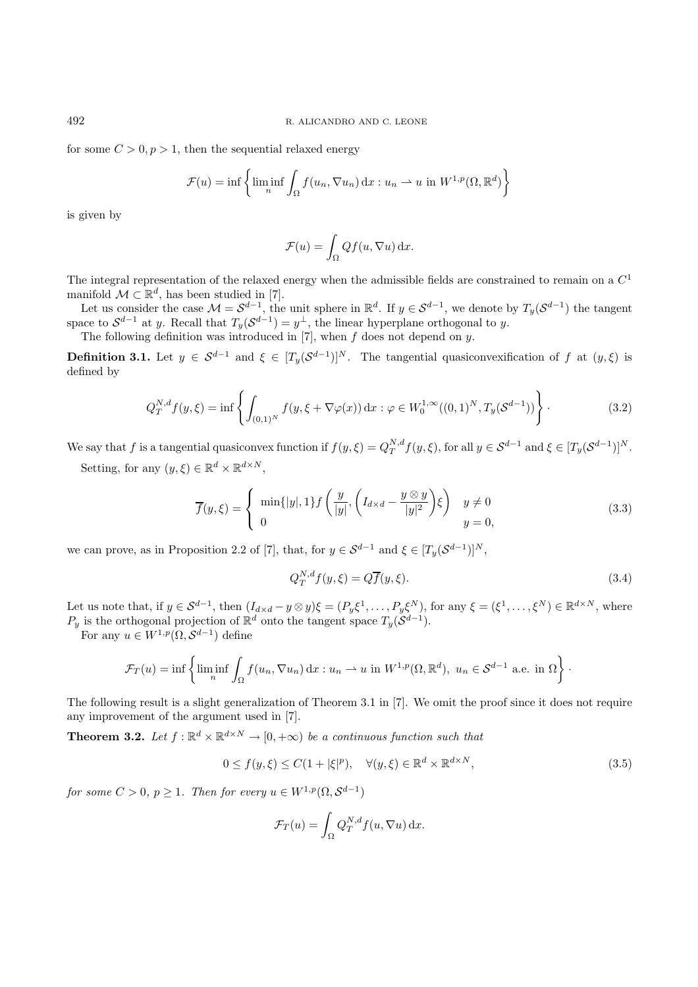for some  $C > 0, p > 1$ , then the sequential relaxed energy

$$
\mathcal{F}(u) = \inf \left\{ \liminf_{n} \int_{\Omega} f(u_n, \nabla u_n) \, dx : u_n \to u \text{ in } W^{1,p}(\Omega, \mathbb{R}^d) \right\}
$$

is given by

$$
\mathcal{F}(u) = \int_{\Omega} Qf(u, \nabla u) \, \mathrm{d}x.
$$

The integral representation of the relaxed energy when the admissible fields are constrained to remain on a  $C<sup>1</sup>$ manifold  $\mathcal{M} \subset \mathbb{R}^d$ , has been studied in [7].

Let us consider the case  $\mathcal{M} = \mathcal{S}^{d-1}$ , the unit sphere in  $\mathbb{R}^d$ . If  $y \in \mathcal{S}^{d-1}$ , we denote by  $T_y(\mathcal{S}^{d-1})$  the tangent space to  $S^{d-1}$  at y. Recall that  $T_y(S^{d-1}) = y^{\perp}$ , the linear hyperplane orthogonal to y.

The following definition was introduced in  $[7]$ , when f does not depend on y.

**Definition 3.1.** Let  $y \in S^{d-1}$  and  $\xi \in [T_y(\mathcal{S}^{d-1})]^N$ . The tangential quasiconvexification of f at  $(y,\xi)$  is defined by

$$
Q_T^{N,d} f(y,\xi) = \inf \left\{ \int_{(0,1)^N} f(y,\xi + \nabla \varphi(x)) dx : \varphi \in W_0^{1,\infty}((0,1)^N, T_y(\mathcal{S}^{d-1})) \right\}.
$$
 (3.2)

We say that f is a tangential quasiconvex function if  $f(y,\xi) = Q_T^{N,d} f(y,\xi)$ , for all  $y \in S^{d-1}$  and  $\xi \in [T_y(\mathcal{S}^{d-1})]^N$ . Setting, for any  $(y,\xi) \in \mathbb{R}^d \times \mathbb{R}^{d \times N}$ ,

$$
\overline{f}(y,\xi) = \begin{cases} \min\{|y|,1\}f\left(\frac{y}{|y|}, \left(I_{d\times d} - \frac{y\otimes y}{|y|^2}\right)\xi\right) & y \neq 0\\ 0 & y = 0, \end{cases}
$$
\n(3.3)

we can prove, as in Proposition 2.2 of [7], that, for  $y \in S^{d-1}$  and  $\xi \in [T_u(S^{d-1})]^N$ ,

$$
Q_T^{N,d} f(y,\xi) = Q\overline{f}(y,\xi). \tag{3.4}
$$

Let us note that, if  $y \in S^{d-1}$ , then  $(I_{d \times d} - y \otimes y)\xi = (P_y \xi^1, \ldots, P_y \xi^N)$ , for any  $\xi = (\xi^1, \ldots, \xi^N) \in \mathbb{R}^{d \times N}$ , where  $P_y$  is the orthogonal projection of  $\mathbb{R}^d$  onto the tangent space  $T_y(\mathcal{S}^{d-1})$ .

For any  $u \in W^{1,p}(\Omega, \mathcal{S}^{d-1})$  define

$$
\mathcal{F}_T(u) = \inf \left\{ \liminf_n \int_{\Omega} f(u_n, \nabla u_n) \, dx : u_n \rightharpoonup u \text{ in } W^{1,p}(\Omega, \mathbb{R}^d), \ u_n \in \mathcal{S}^{d-1} \text{ a.e. in } \Omega \right\}.
$$

The following result is a slight generalization of Theorem 3.1 in [7]. We omit the proof since it does not require any improvement of the argument used in [7].

**Theorem 3.2.** Let  $f : \mathbb{R}^d \times \mathbb{R}^{d \times N} \to [0, +\infty)$  be a continuous function such that

$$
0 \le f(y,\xi) \le C(1+|\xi|^p), \quad \forall (y,\xi) \in \mathbb{R}^d \times \mathbb{R}^{d \times N},\tag{3.5}
$$

for some  $C > 0$ ,  $p \ge 1$ . Then for every  $u \in W^{1,p}(\Omega, \mathcal{S}^{d-1})$ 

$$
\mathcal{F}_T(u) = \int_{\Omega} Q_T^{N,d} f(u, \nabla u) \, \mathrm{d}x.
$$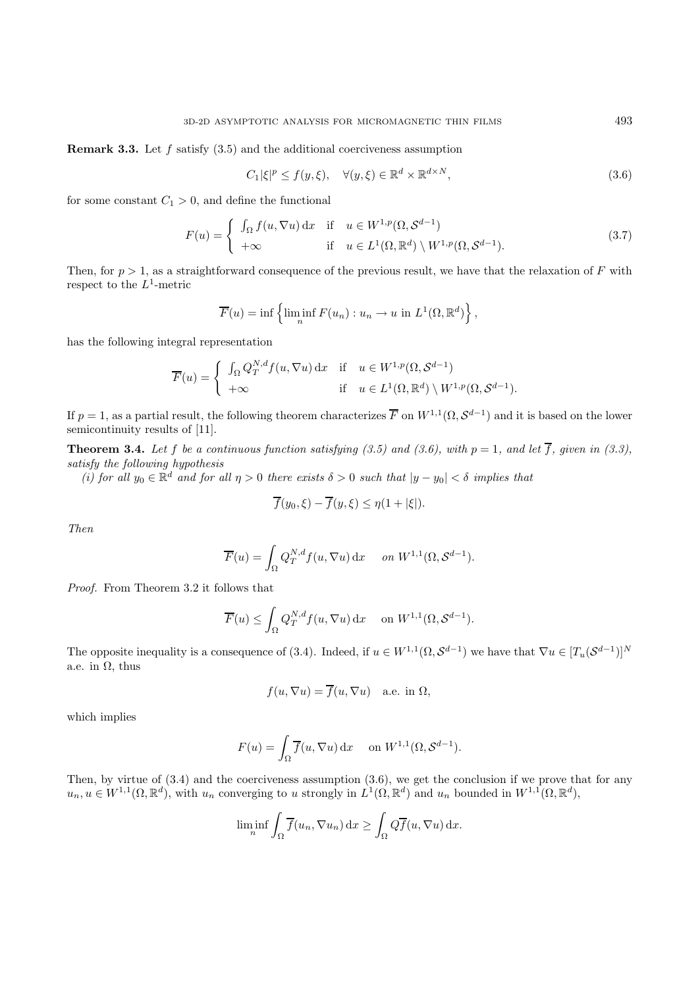**Remark 3.3.** Let f satisfy (3.5) and the additional coerciveness assumption

$$
C_1|\xi|^p \le f(y,\xi), \quad \forall (y,\xi) \in \mathbb{R}^d \times \mathbb{R}^{d \times N},\tag{3.6}
$$

for some constant  $C_1 > 0$ , and define the functional

$$
F(u) = \begin{cases} \int_{\Omega} f(u, \nabla u) dx & \text{if } u \in W^{1, p}(\Omega, \mathcal{S}^{d-1}) \\ +\infty & \text{if } u \in L^{1}(\Omega, \mathbb{R}^{d}) \setminus W^{1, p}(\Omega, \mathcal{S}^{d-1}). \end{cases}
$$
(3.7)

Then, for  $p > 1$ , as a straightforward consequence of the previous result, we have that the relaxation of F with respect to the  $L^1$ -metric

$$
\overline{F}(u) = \inf \left\{ \liminf_{n} F(u_n) : u_n \to u \text{ in } L^1(\Omega, \mathbb{R}^d) \right\},\
$$

has the following integral representation

$$
\overline{F}(u) = \begin{cases} \int_{\Omega} Q_T^{N,d} f(u, \nabla u) dx & \text{if } u \in W^{1,p}(\Omega, \mathcal{S}^{d-1}) \\ +\infty & \text{if } u \in L^1(\Omega, \mathbb{R}^d) \setminus W^{1,p}(\Omega, \mathcal{S}^{d-1}). \end{cases}
$$

If  $p = 1$ , as a partial result, the following theorem characterizes  $\overline{F}$  on  $W^{1,1}(\Omega, \mathcal{S}^{d-1})$  and it is based on the lower semicontinuity results of [11].

**Theorem 3.4.** Let f be a continuous function satisfying (3.5) and (3.6), with  $p = 1$ , and let  $\overline{f}$ , given in (3.3), satisfy the following hypothesis

(i) for all  $y_0 \in \mathbb{R}^d$  and for all  $\eta > 0$  there exists  $\delta > 0$  such that  $|y - y_0| < \delta$  implies that

$$
\overline{f}(y_0,\xi)-\overline{f}(y,\xi)\leq \eta(1+|\xi|).
$$

Then

$$
\overline{F}(u) = \int_{\Omega} Q_T^{N,d} f(u, \nabla u) \, \mathrm{d}x \quad on \ W^{1,1}(\Omega, \mathcal{S}^{d-1}).
$$

Proof. From Theorem 3.2 it follows that

$$
\overline{F}(u) \le \int_{\Omega} Q_T^{N,d} f(u, \nabla u) \, \mathrm{d}x \quad \text{ on } W^{1,1}(\Omega, \mathcal{S}^{d-1}).
$$

The opposite inequality is a consequence of (3.4). Indeed, if  $u \in W^{1,1}(\Omega, \mathcal{S}^{d-1})$  we have that  $\nabla u \in [T_u(\mathcal{S}^{d-1})]^N$ a.e. in  $\Omega$ , thus

$$
f(u, \nabla u) = \overline{f}(u, \nabla u) \quad \text{a.e. in } \Omega,
$$

which implies

$$
F(u) = \int_{\Omega} \overline{f}(u, \nabla u) \,dx \quad \text{ on } W^{1,1}(\Omega, \mathcal{S}^{d-1}).
$$

Then, by virtue of  $(3.4)$  and the coerciveness assumption  $(3.6)$ , we get the conclusion if we prove that for any  $u_n, u \in W^{1,1}(\Omega, \mathbb{R}^d)$ , with  $u_n$  converging to u strongly in  $L^1(\Omega, \mathbb{R}^d)$  and  $u_n$  bounded in  $W^{1,1}(\Omega, \mathbb{R}^d)$ ,

$$
\liminf_{n} \int_{\Omega} \overline{f}(u_n, \nabla u_n) \,dx \ge \int_{\Omega} Q\overline{f}(u, \nabla u) \,dx.
$$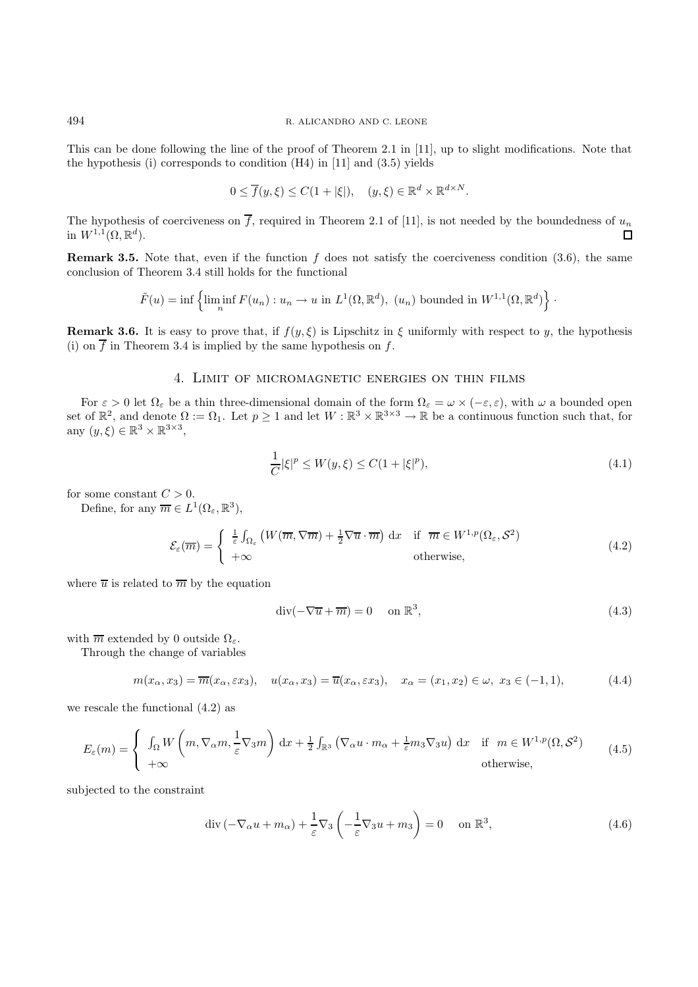This can be done following the line of the proof of Theorem 2.1 in [11], up to slight modifications. Note that the hypothesis (i) corresponds to condition (H4) in [11] and (3.5) yields

$$
0 \le \overline{f}(y,\xi) \le C(1+|\xi|), \quad (y,\xi) \in \mathbb{R}^d \times \mathbb{R}^{d \times N}.
$$

The hypothesis of coerciveness on  $\overline{f}$ , required in Theorem 2.1 of [11], is not needed by the boundedness of  $u_n$ in  $W^{1,1}(\Omega,\mathbb{R}^d)$ .  $\Box$ 

**Remark 3.5.** Note that, even if the function  $f$  does not satisfy the coerciveness condition  $(3.6)$ , the same conclusion of Theorem 3.4 still holds for the functional

$$
\tilde{F}(u) = \inf \left\{ \liminf_{n} F(u_n) : u_n \to u \text{ in } L^1(\Omega, \mathbb{R}^d), (u_n) \text{ bounded in } W^{1,1}(\Omega, \mathbb{R}^d) \right\}.
$$

**Remark 3.6.** It is easy to prove that, if  $f(y, \xi)$  is Lipschitz in  $\xi$  uniformly with respect to y, the hypothesis (i) on  $\overline{f}$  in Theorem 3.4 is implied by the same hypothesis on f.

### 4. Limit of micromagnetic energies on thin films

For  $\varepsilon > 0$  let  $\Omega_{\varepsilon}$  be a thin three-dimensional domain of the form  $\Omega_{\varepsilon} = \omega \times (-\varepsilon, \varepsilon)$ , with  $\omega$  a bounded open set of  $\mathbb{R}^2$ , and denote  $\Omega := \Omega_1$ . Let  $p \ge 1$  and let  $W : \mathbb{R}^3 \times \mathbb{R}^{3 \times 3} \to \mathbb{R}$  be a continuous function such that, for any  $(y,\xi) \in \mathbb{R}^3 \times \mathbb{R}^{3 \times 3}$ ,

$$
\frac{1}{C}|\xi|^{p} \le W(y,\xi) \le C(1+|\xi|^{p}),\tag{4.1}
$$

for some constant  $C > 0$ .

Define, for any  $\overline{m} \in L^1(\Omega_\varepsilon, \mathbb{R}^3)$ ,

$$
\mathcal{E}_{\varepsilon}(\overline{m}) = \begin{cases} \frac{1}{\varepsilon} \int_{\Omega_{\varepsilon}} \left( W(\overline{m}, \nabla \overline{m}) + \frac{1}{2} \nabla \overline{u} \cdot \overline{m} \right) dx & \text{if } \overline{m} \in W^{1, p}(\Omega_{\varepsilon}, \mathcal{S}^{2}) \\ +\infty & \text{otherwise,} \end{cases}
$$
(4.2)

where  $\overline{u}$  is related to  $\overline{m}$  by the equation

$$
\operatorname{div}(-\nabla \overline{u} + \overline{m}) = 0 \quad \text{on } \mathbb{R}^3,\tag{4.3}
$$

with  $\overline{m}$  extended by 0 outside  $\Omega_{\varepsilon}$ .

Through the change of variables

$$
m(x_{\alpha}, x_3) = \overline{m}(x_{\alpha}, \varepsilon x_3), \quad u(x_{\alpha}, x_3) = \overline{u}(x_{\alpha}, \varepsilon x_3), \quad x_{\alpha} = (x_1, x_2) \in \omega, \ x_3 \in (-1, 1), \tag{4.4}
$$

we rescale the functional (4.2) as

$$
E_{\varepsilon}(m) = \begin{cases} \int_{\Omega} W\left(m, \nabla_{\alpha} m, \frac{1}{\varepsilon} \nabla_{3} m\right) dx + \frac{1}{2} \int_{\mathbb{R}^{3}} \left(\nabla_{\alpha} u \cdot m_{\alpha} + \frac{1}{\varepsilon} m_{3} \nabla_{3} u\right) dx & \text{if } m \in W^{1, p}(\Omega, \mathcal{S}^{2})\\ +\infty & \text{otherwise,} \end{cases}
$$
(4.5)

subjected to the constraint

$$
\operatorname{div}\left(-\nabla_{\alpha}u + m_{\alpha}\right) + \frac{1}{\varepsilon}\nabla_3\left(-\frac{1}{\varepsilon}\nabla_3u + m_3\right) = 0 \quad \text{on } \mathbb{R}^3,
$$
\n(4.6)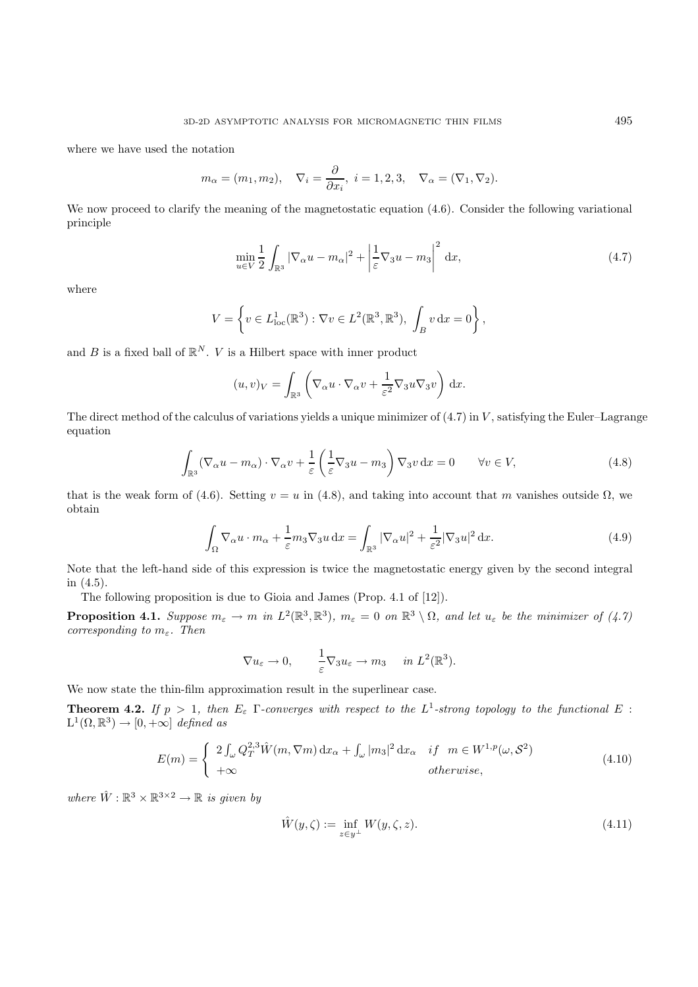where we have used the notation

$$
m_{\alpha} = (m_1, m_2), \quad \nabla_i = \frac{\partial}{\partial x_i}, \quad i = 1, 2, 3, \quad \nabla_{\alpha} = (\nabla_1, \nabla_2).
$$

We now proceed to clarify the meaning of the magnetostatic equation  $(4.6)$ . Consider the following variational principle

$$
\min_{u \in V} \frac{1}{2} \int_{\mathbb{R}^3} |\nabla_\alpha u - m_\alpha|^2 + \left| \frac{1}{\varepsilon} \nabla_3 u - m_3 \right|^2 dx, \tag{4.7}
$$

where

$$
V = \left\{ v \in L^{1}_{loc}(\mathbb{R}^{3}) : \nabla v \in L^{2}(\mathbb{R}^{3}, \mathbb{R}^{3}), \int_{B} v dx = 0 \right\},\
$$

and B is a fixed ball of  $\mathbb{R}^N$ . V is a Hilbert space with inner product

$$
(u,v)_V = \int_{\mathbb{R}^3} \left( \nabla_\alpha u \cdot \nabla_\alpha v + \frac{1}{\varepsilon^2} \nabla_3 u \nabla_3 v \right) dx.
$$

The direct method of the calculus of variations yields a unique minimizer of  $(4.7)$  in V, satisfying the Euler–Lagrange equation

$$
\int_{\mathbb{R}^3} (\nabla_\alpha u - m_\alpha) \cdot \nabla_\alpha v + \frac{1}{\varepsilon} \left( \frac{1}{\varepsilon} \nabla_3 u - m_3 \right) \nabla_3 v \, \mathrm{d}x = 0 \qquad \forall v \in V,
$$
\n(4.8)

that is the weak form of (4.6). Setting  $v = u$  in (4.8), and taking into account that m vanishes outside  $\Omega$ , we obtain

$$
\int_{\Omega} \nabla_{\alpha} u \cdot m_{\alpha} + \frac{1}{\varepsilon} m_3 \nabla_3 u \, \mathrm{d}x = \int_{\mathbb{R}^3} |\nabla_{\alpha} u|^2 + \frac{1}{\varepsilon^2} |\nabla_3 u|^2 \, \mathrm{d}x. \tag{4.9}
$$

Note that the left-hand side of this expression is twice the magnetostatic energy given by the second integral in (4.5).

The following proposition is due to Gioia and James (Prop. 4.1 of [12]).

**Proposition 4.1.** Suppose  $m_{\varepsilon} \to m$  in  $L^2(\mathbb{R}^3, \mathbb{R}^3)$ ,  $m_{\varepsilon} = 0$  on  $\mathbb{R}^3 \setminus \Omega$ , and let  $u_{\varepsilon}$  be the minimizer of (4.7) corresponding to  $m_{\varepsilon}$ . Then

$$
\nabla u_{\varepsilon}\to 0, \qquad \frac{1}{\varepsilon}\nabla_3 u_{\varepsilon}\to m_3 \quad in \; L^2(\mathbb{R}^3).
$$

We now state the thin-film approximation result in the superlinear case.

**Theorem 4.2.** If  $p > 1$ , then  $E_{\varepsilon}$  Γ-converges with respect to the L<sup>1</sup>-strong topology to the functional E:  $L^1(\Omega,\mathbb{R}^3)\to[0,+\infty]$  defined as

$$
E(m) = \begin{cases} 2 \int_{\omega} Q_T^{2,3} \hat{W}(m, \nabla m) \, dx_{\alpha} + \int_{\omega} |m_3|^2 \, dx_{\alpha} & \text{if } m \in W^{1,p}(\omega, \mathcal{S}^2) \\ +\infty & \text{otherwise,} \end{cases}
$$
(4.10)

where  $\hat{W} : \mathbb{R}^3 \times \mathbb{R}^{3 \times 2} \to \mathbb{R}$  is given by

$$
\hat{W}(y,\zeta) := \inf_{z \in y^{\perp}} W(y,\zeta,z). \tag{4.11}
$$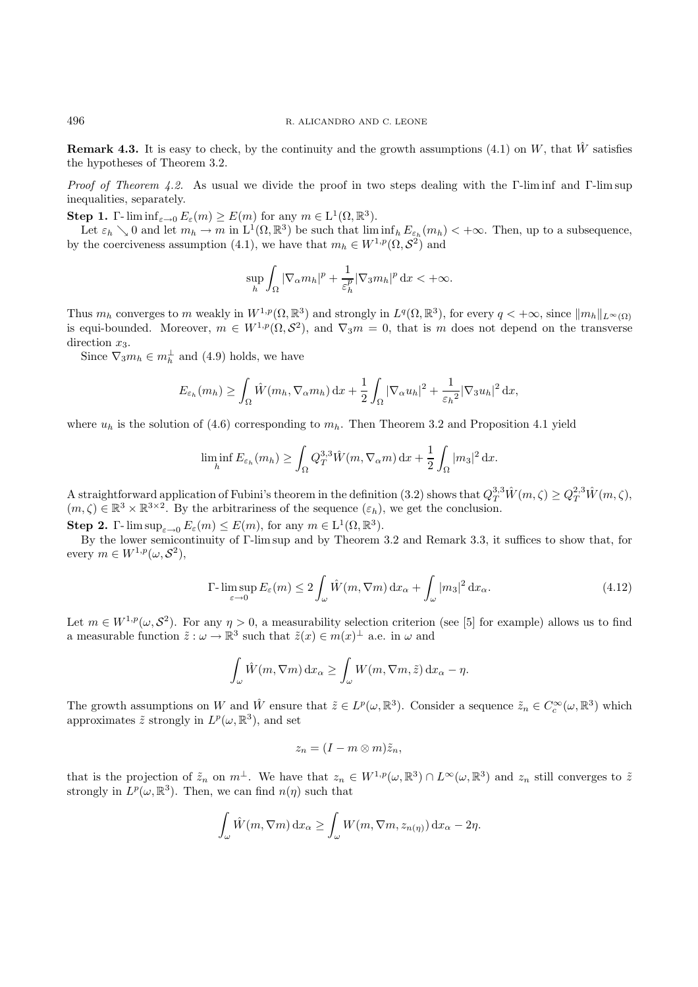**Remark 4.3.** It is easy to check, by the continuity and the growth assumptions (4.1) on W, that  $\hat{W}$  satisfies the hypotheses of Theorem 3.2.

*Proof of Theorem 4.2.* As usual we divide the proof in two steps dealing with the Γ-lim inf and Γ-lim sup inequalities, separately.

**Step 1.** Γ- lim inf<sub>ε→0</sub>  $E_{\varepsilon}(m) \ge E(m)$  for any  $m \in L^1(\Omega, \mathbb{R}^3)$ .

Let  $\varepsilon_h \searrow 0$  and let  $m_h \to m$  in  $L^1(\Omega, \mathbb{R}^3)$  be such that  $\liminf_h E_{\varepsilon_h}(m_h) < +\infty$ . Then, up to a subsequence, by the coerciveness assumption (4.1), we have that  $m_h \in W^{1,p}(\Omega, \mathcal{S}^2)$  and

$$
\sup_h \int_\Omega |\nabla_\alpha m_h|^p + \frac{1}{\varepsilon_h^p} |\nabla_3 m_h|^p \, \mathrm{d} x < +\infty.
$$

Thus  $m_h$  converges to m weakly in  $W^{1,p}(\Omega,\mathbb{R}^3)$  and strongly in  $L^q(\Omega,\mathbb{R}^3)$ , for every  $q < +\infty$ , since  $\|m_h\|_{L^{\infty}(\Omega)}$ is equi-bounded. Moreover,  $m \in W^{1,p}(\Omega, \mathcal{S}^2)$ , and  $\nabla_3 m = 0$ , that is m does not depend on the transverse direction  $x_3$ .

Since  $\nabla_3 m_h \in m_h^{\perp}$  and (4.9) holds, we have

$$
E_{\varepsilon_h}(m_h) \ge \int_{\Omega} \hat{W}(m_h, \nabla_{\alpha} m_h) \,dx + \frac{1}{2} \int_{\Omega} |\nabla_{\alpha} u_h|^2 + \frac{1}{\varepsilon_h^2} |\nabla_3 u_h|^2 \,dx,
$$

where  $u_h$  is the solution of (4.6) corresponding to  $m_h$ . Then Theorem 3.2 and Proposition 4.1 yield

$$
\liminf_{h} E_{\varepsilon_h}(m_h) \ge \int_{\Omega} Q_T^{3,3} \hat{W}(m, \nabla_\alpha m) \,dx + \frac{1}{2} \int_{\Omega} |m_3|^2 \,dx.
$$

A straightforward application of Fubini's theorem in the definition (3.2) shows that  $Q_T^{3,3}\hat{W}(m,\zeta) \geq Q_T^{2,3}\hat{W}(m,\zeta)$ ,  $(m, \zeta) \in \mathbb{R}^3 \times \mathbb{R}^{3 \times 2}$ . By the arbitrariness of the sequence  $(\varepsilon_h)$ , we get the conclusion.

**Step 2.** Γ-  $\limsup_{\varepsilon\to 0} E_{\varepsilon}(m) \leq E(m)$ , for any  $m \in L^1(\Omega, \mathbb{R}^3)$ .

By the lower semicontinuity of Γ-lim sup and by Theorem 3.2 and Remark 3.3, it suffices to show that, for every  $m \in W^{1,p}(\omega, \mathcal{S}^2)$ ,

$$
\Gamma\text{-}\limsup_{\varepsilon \to 0} E_{\varepsilon}(m) \le 2 \int_{\omega} \hat{W}(m, \nabla m) \, \mathrm{d}x_{\alpha} + \int_{\omega} |m_3|^2 \, \mathrm{d}x_{\alpha}.\tag{4.12}
$$

Let  $m \in W^{1,p}(\omega,\mathcal{S}^2)$ . For any  $\eta > 0$ , a measurability selection criterion (see [5] for example) allows us to find a measurable function  $\tilde{z} : \omega \to \mathbb{R}^3$  such that  $\tilde{z}(x) \in m(x)^\perp$  a.e. in  $\omega$  and

$$
\int_{\omega} \hat{W}(m, \nabla m) \,dx_{\alpha} \ge \int_{\omega} W(m, \nabla m, \tilde{z}) \,dx_{\alpha} - \eta.
$$

The growth assumptions on W and  $\hat{W}$  ensure that  $\tilde{z} \in L^p(\omega, \mathbb{R}^3)$ . Consider a sequence  $\tilde{z}_n \in C_c^{\infty}(\omega, \mathbb{R}^3)$  which approximates  $\tilde{z}$  strongly in  $L^p(\omega, \mathbb{R}^3)$ , and set

$$
z_n=(I-m\otimes m)\tilde{z}_n,
$$

that is the projection of  $\tilde{z}_n$  on  $m^{\perp}$ . We have that  $z_n \in W^{1,p}(\omega,\mathbb{R}^3) \cap L^{\infty}(\omega,\mathbb{R}^3)$  and  $z_n$  still converges to  $\tilde{z}$ strongly in  $L^p(\omega, \mathbb{R}^3)$ . Then, we can find  $n(\eta)$  such that

$$
\int_{\omega} \hat{W}(m, \nabla m) \,dx_{\alpha} \ge \int_{\omega} W(m, \nabla m, z_{n(\eta)}) \,dx_{\alpha} - 2\eta.
$$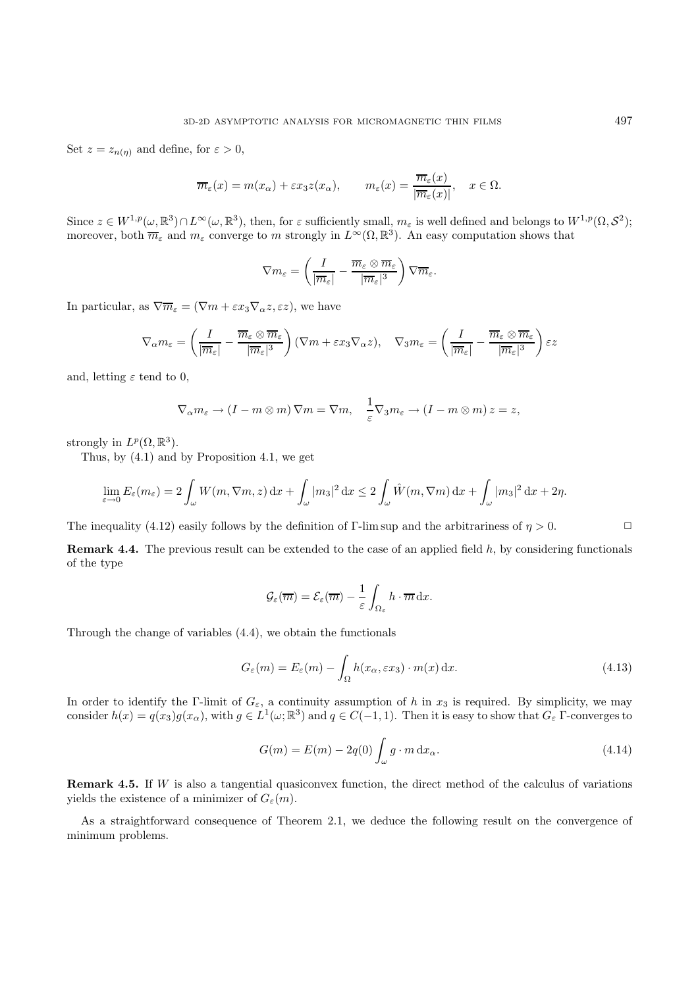Set  $z = z_{n(n)}$  and define, for  $\varepsilon > 0$ ,

$$
\overline{m}_{\varepsilon}(x) = m(x_{\alpha}) + \varepsilon x_3 z(x_{\alpha}), \qquad m_{\varepsilon}(x) = \frac{\overline{m}_{\varepsilon}(x)}{|\overline{m}_{\varepsilon}(x)|}, \quad x \in \Omega.
$$

Since  $z \in W^{1,p}(\omega,\mathbb{R}^3) \cap L^{\infty}(\omega,\mathbb{R}^3)$ , then, for  $\varepsilon$  sufficiently small,  $m_{\varepsilon}$  is well defined and belongs to  $W^{1,p}(\Omega,\mathcal{S}^2)$ ; moreover, both  $\overline{m}_{\varepsilon}$  and  $m_{\varepsilon}$  converge to m strongly in  $L^{\infty}(\Omega,\mathbb{R}^{3})$ . An easy computation shows that

$$
\nabla m_\varepsilon = \left( \frac{I}{|\overline{m}_\varepsilon|} - \frac{\overline{m}_\varepsilon \otimes \overline{m}_\varepsilon}{|\overline{m}_\varepsilon|^3} \right) \nabla \overline{m}_\varepsilon.
$$

In particular, as  $\nabla \overline{m}_{\varepsilon} = (\nabla m + \varepsilon x_3 \nabla_{\alpha} z, \varepsilon z)$ , we have

$$
\nabla_{\alpha} m_{\varepsilon} = \left(\frac{I}{|\overline{m}_{\varepsilon}|} - \frac{\overline{m}_{\varepsilon} \otimes \overline{m}_{\varepsilon}}{|\overline{m}_{\varepsilon}|^{3}}\right) (\nabla m + \varepsilon x_{3} \nabla_{\alpha} z), \quad \nabla_{3} m_{\varepsilon} = \left(\frac{I}{|\overline{m}_{\varepsilon}|} - \frac{\overline{m}_{\varepsilon} \otimes \overline{m}_{\varepsilon}}{|\overline{m}_{\varepsilon}|^{3}}\right) \varepsilon z
$$

and, letting  $\varepsilon$  tend to 0,

$$
\nabla_{\alpha} m_{\varepsilon} \to (I - m \otimes m) \nabla m = \nabla m, \quad \frac{1}{\varepsilon} \nabla_{3} m_{\varepsilon} \to (I - m \otimes m) z = z,
$$

strongly in  $L^p(\Omega,\mathbb{R}^3)$ .

Thus, by (4.1) and by Proposition 4.1, we get

$$
\lim_{\varepsilon \to 0} E_{\varepsilon}(m_{\varepsilon}) = 2 \int_{\omega} W(m, \nabla m, z) \,dx + \int_{\omega} |m_3|^2 \,dx \le 2 \int_{\omega} \hat{W}(m, \nabla m) \,dx + \int_{\omega} |m_3|^2 \,dx + 2\eta.
$$

The inequality (4.12) easily follows by the definition of Γ-lim sup and the arbitrariness of  $\eta > 0$ .

**Remark 4.4.** The previous result can be extended to the case of an applied field h, by considering functionals of the type

$$
\mathcal{G}_{\varepsilon}(\overline{m})=\mathcal{E}_{\varepsilon}(\overline{m})-\frac{1}{\varepsilon}\int_{\Omega_{\varepsilon}}h\cdot\overline{m}\,\mathrm{d}x.
$$

Through the change of variables (4.4), we obtain the functionals

$$
G_{\varepsilon}(m) = E_{\varepsilon}(m) - \int_{\Omega} h(x_{\alpha}, \varepsilon x_3) \cdot m(x) \, \mathrm{d}x. \tag{4.13}
$$

In order to identify the Γ-limit of  $G_{\varepsilon}$ , a continuity assumption of h in  $x_3$  is required. By simplicity, we may consider  $h(x) = q(x_3)g(x_\alpha)$ , with  $g \in L^1(\omega;\mathbb{R}^3)$  and  $q \in C(-1,1)$ . Then it is easy to show that  $G_\varepsilon$  Γ-converges to

$$
G(m) = E(m) - 2q(0) \int_{\omega} g \cdot m \, dx_{\alpha}.
$$
\n(4.14)

**Remark 4.5.** If W is also a tangential quasiconvex function, the direct method of the calculus of variations yields the existence of a minimizer of  $G_{\varepsilon}(m)$ .

As a straightforward consequence of Theorem 2.1, we deduce the following result on the convergence of minimum problems.